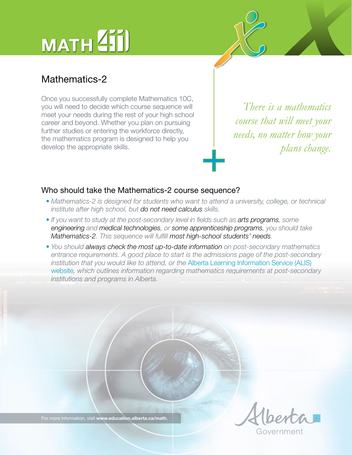# MATH<sup>211</sup>

## Mathematics-2

Once you successfully complete Mathematics 10C, you will need to decide which course sequence will meet your needs during the rest of your high school career and beyond. Whether you plan on pursuing further studies or entering the workforce directly, the mathematics program is designed to help you develop the appropriate skills.

*There is a mathematics course that will meet your needs, no matter how your*  $plane.$ 

#### Who should take the Mathematics-2 course sequence?

- *Mathematics-2 is designed for students who want to attend a university, college, or technical institute after high school, but do not need calculus skills.*
- *If you want to study at the post-secondary level in fields such as arts programs, some engineering and medical technologies, or some apprenticeship programs, you should take Mathematics-2. This sequence will fulfill most high-school students' needs.*
- *You should always check the most up-to-date information on post-secondary mathematics entrance requirements. A good place to start is the admissions page of the post-secondary institution that you would like to attend, or the* [Alberta Learning Information Service \(ALIS\)](http://alis.alberta.ca/ps/tsp/ta/hsequivadm/highschoolmathrequirements.html)  [website](http://alis.alberta.ca/ps/tsp/ta/hsequivadm/highschoolmathrequirements.html)*, which outlines information regarding mathematics requirements at post-secondary institutions and programs in Alberta.*

overnmen

For more information, visit **[www.education.alberta.ca/math](http://education.alberta.ca/teachers/program/math.aspx)**.